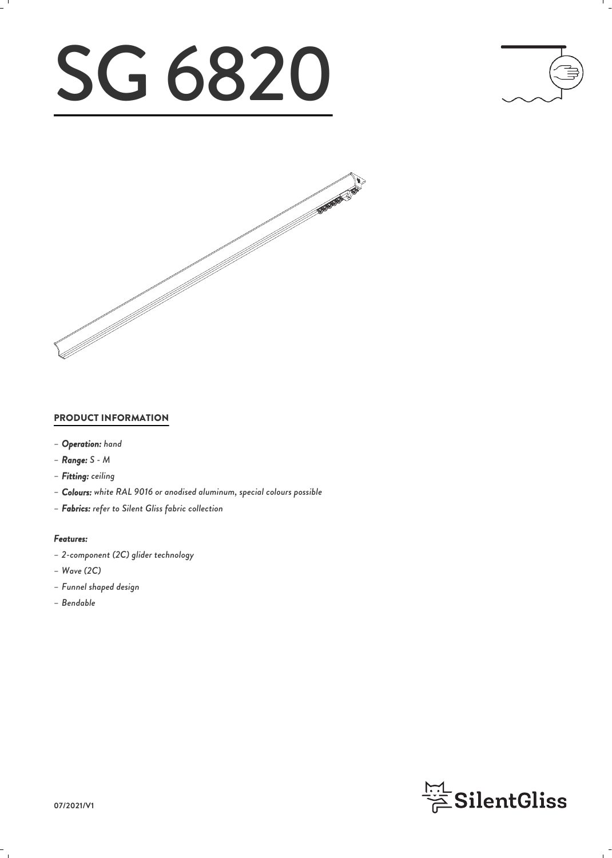# SG 6820





### PRODUCT INFORMATION

- *– Operation: hand*
- *– Range: S M*
- *– Fitting: ceiling*
- *– Colours: white RAL 9016 or anodised aluminum, special colours possible*
- *– Fabrics: refer to Silent Gliss fabric collection*

### *Features:*

- *– 2-component (2C) glider technology*
- *– Wave (2C)*
- *– Funnel shaped design*
- *– Bendable*

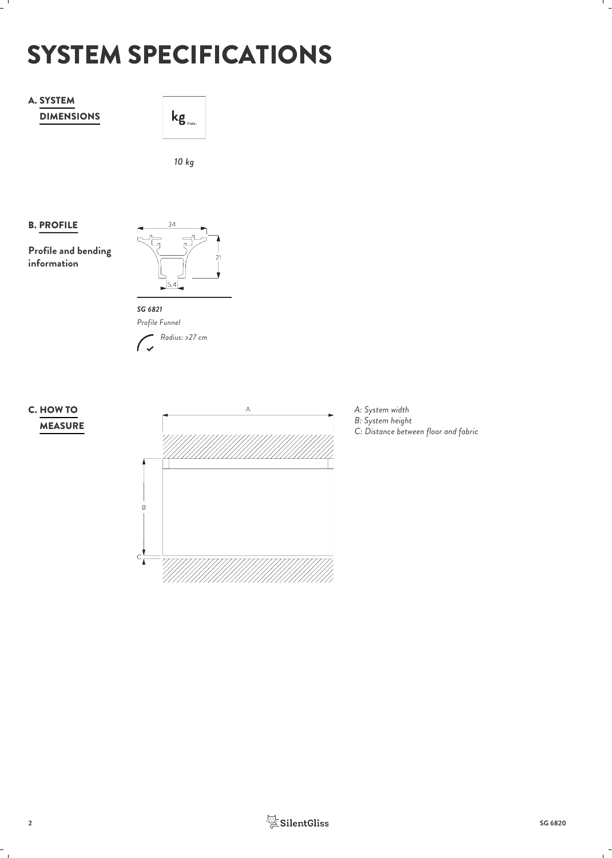# SYSTEM SPECIFICATIONS

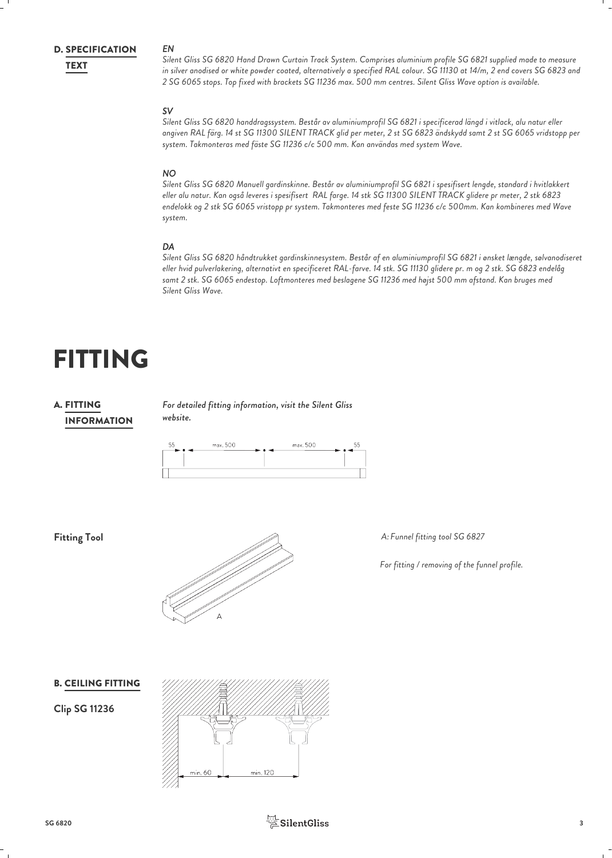*EN Silent Gliss SG 6820 Hand Drawn Curtain Track System. Comprises aluminium profile SG 6821 supplied made to measure in silver anodised or white powder coated, alternatively a specified RAL colour. SG 11130 at 14/m, 2 end covers SG 6823 and* TEXT *2 SG 6065 stops. Top fixed with brackets SG 11236 max. 500 mm centres. Silent Gliss Wave option is available.*

### *SV*

*Silent Gliss SG 6820 handdragssystem. Består av aluminiumprofil SG 6821 i specificerad längd i vitlack, alu natur eller angiven RAL färg. 14 st SG 11300 SILENT TRACK glid per meter, 2 st SG 6823 ändskydd samt 2 st SG 6065 vridstopp per system. Takmonteras med fäste SG 11236 c/c 500 mm. Kan användas med system Wave.*

### *NO*

*Silent Gliss SG 6820 Manuell gardinskinne. Består av aluminiumprofil SG 6821 i spesifisert lengde, standard i hvitlakkert eller alu natur. Kan også leveres i spesifisert RAL farge. 14 stk SG 11300 SILENT TRACK glidere pr meter, 2 stk 6823 endelokk og 2 stk SG 6065 vristopp pr system. Takmonteres med feste SG 11236 c/c 500mm. Kan kombineres med Wave system.*

### *DA*

*Silent Gliss SG 6820 håndtrukket gardinskinnesystem. Består af en aluminiumprofil SG 6821 i ønsket længde, sølvanodiseret eller hvid pulverlakering, alternativt en specificeret RAL-farve. 14 stk. SG 11130 glidere pr. m og 2 stk. SG 6823 endelåg samt 2 stk. SG 6065 endestop. Loftmonteres med beslagene SG 11236 med højst 500 mm afstand. Kan bruges med Silent Gliss Wave.*

## FITTING

### INFORMATION **A. FITTING**

*For detailed fitting information, visit the Silent Gliss* FITTING *website.*





*For fitting / removing of the funnel profile.*

### B. CEILING FITTING

**Clip SG 11236**

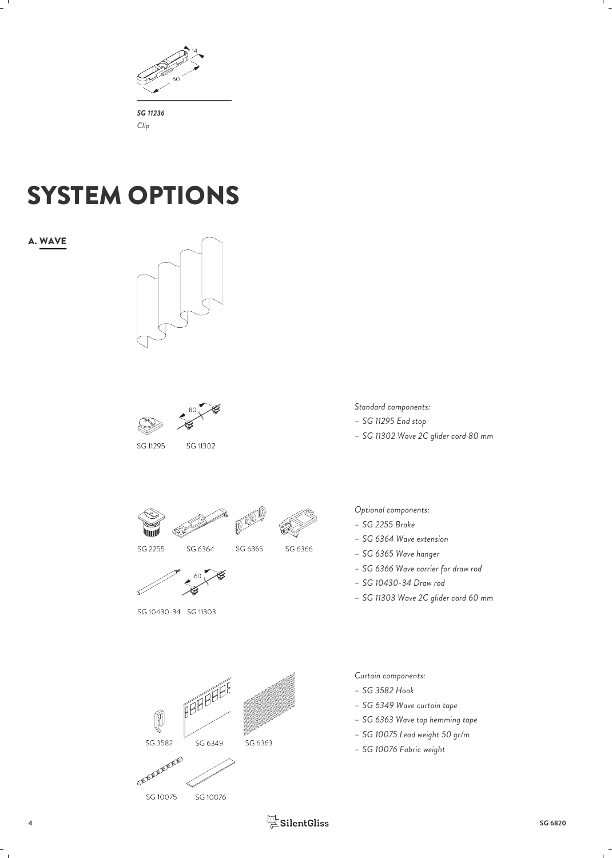

### SYSTEM OPTIONS

A. WAVE





*Standard components:*

- *– SG 11295 End stop*
- *– SG 11302 Wave 2C glider cord 80 mm*

*Optional components:*

- *– SG 2255 Brake*
- *– SG 6364 Wave extension*
- *– SG 6365 Wave hanger*
- *– SG 6366 Wave carrier for draw rod*
- *– SG 10430-34 Draw rod*
- *– SG 11303 Wave 2C glider cord 60 mm*

*Curtain components:*

- *– SG 3582 Hook*
- *– SG 6349 Wave curtain tape*
- *– SG 6363 Wave top hemming tape*
- *– SG 10075 Lead weight 50 gr/m*
- *– SG 10076 Fabric weight*

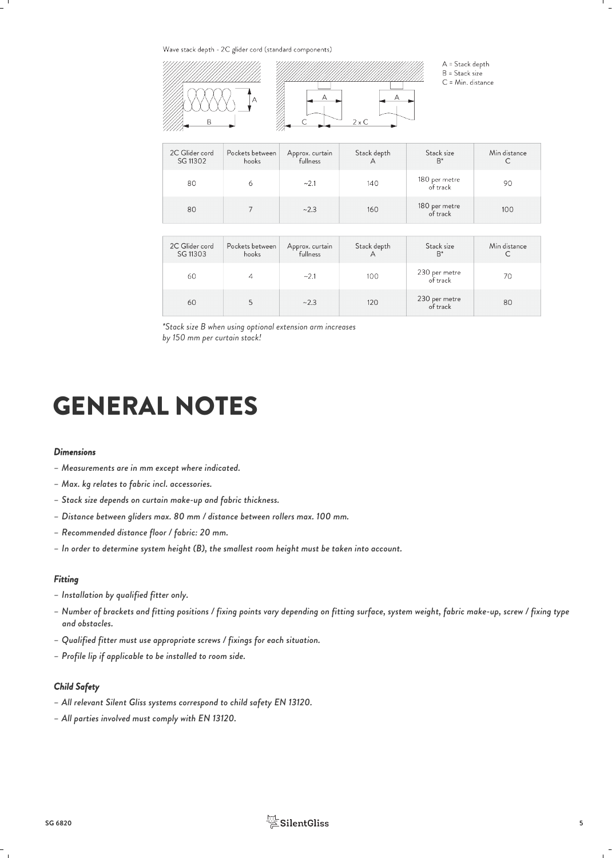Wave stack depth - 2C glider cord (standard components)



A = Stack depth  $B =$  Stack size C = Min. distance

| 2C Glider cord<br>SG 11302 | Pockets between<br>hooks | Approx. curtain<br>fullness | Stack depth | Stack size<br>$B^*$       | Min distance |
|----------------------------|--------------------------|-----------------------------|-------------|---------------------------|--------------|
| 80                         | 6                        | ~2.1                        | 140         | 180 per metre<br>of track | 90           |
| 80                         |                          | ~2.3                        | 160         | 180 per metre<br>of track | 100          |

| 2C Glider cord<br>SG 11303 | Pockets between<br>hooks | Approx. curtain<br>fullness | Stack depth | Stack size<br>$B^*$       | Min distance |
|----------------------------|--------------------------|-----------------------------|-------------|---------------------------|--------------|
| 60                         |                          | ~2.1                        | 100         | 230 per metre<br>of track | 70           |
| 60                         |                          | ~2.3                        | 120         | 230 per metre<br>of track | 80           |

*\*Stack size B when using optional extension arm increases by 150 mm per curtain stack!*

### GENERAL NOTES

#### *Dimensions*

- *– Measurements are in mm except where indicated.*
- *– Max. kg relates to fabric incl. accessories.*
- *– Stack size depends on curtain make-up and fabric thickness.*
- *– Distance between gliders max. 80 mm / distance between rollers max. 100 mm.*
- *– Recommended distance floor / fabric: 20 mm.*
- *– In order to determine system height (B), the smallest room height must be taken into account.*

#### *Fitting*

- *– Installation by qualified fitter only.*
- *– Number of brackets and fitting positions / fixing points vary depending on fitting surface, system weight, fabric make-up, screw / fixing type and obstacles.*
- *– Qualified fitter must use appropriate screws / fixings for each situation.*
- *– Profile lip if applicable to be installed to room side.*

### *Child Safety*

- *– All relevant Silent Gliss systems correspond to child safety EN 13120.*
- *– All parties involved must comply with EN 13120.*

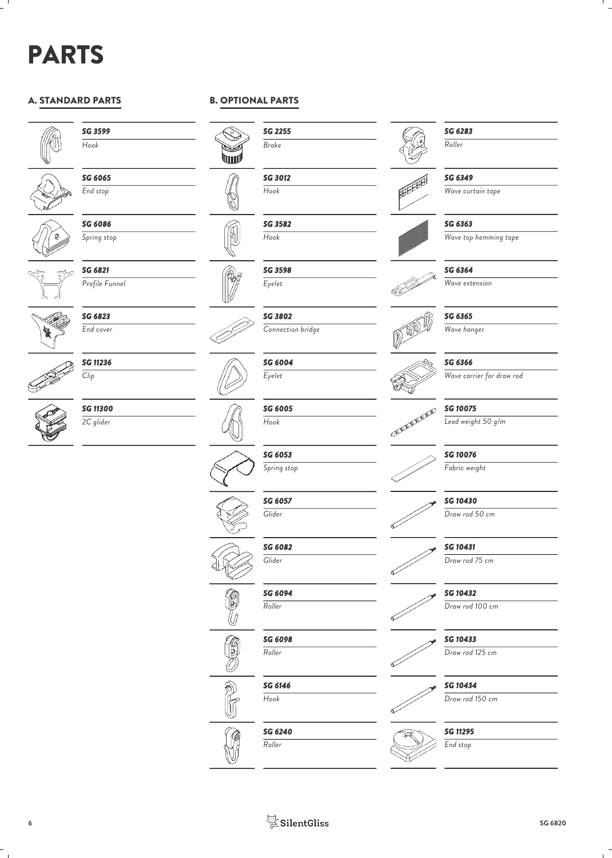# PARTS

### A. STANDARD PARTS



*SG 3599 Hook*

*SG 6065*



*End stop*



*SG 6821 Profile Funnel*

*Spring stop*

*SG 6086*



*SG 6823 End cover*



*SG 11236 Clip*



*2C glider*





*SG 3012 Hook*

*SG 3582 Hook*

*SG 3598 Eyelet*



*SG 3802 Connection bridge*

*SG 6004 Eyelet*



*SG 6082 Glider*

*SG 6094 Roller*

*SG 6098*

*SG 6240 Roller*

*SG 6053 Spring stop*

> *SG 6057 Glider*















*SG 6366*

*Wave carrier for draw rod*

**SG 600 ADDED** *SG 10075*

*Lead weight 50 g/m*



*Fabric weight*

*SG 10430 Draw rod 50 cm*



*SG 10432*

*Draw rod 100 cm*



*Draw rod 125 cm*



*SG 10434 Draw rod 150 cm*



*SG 11295 End stop*











*Hook*



**6 SG 6820**



*SG 6283 Roller*

*SG 6349 Wave curtain tape*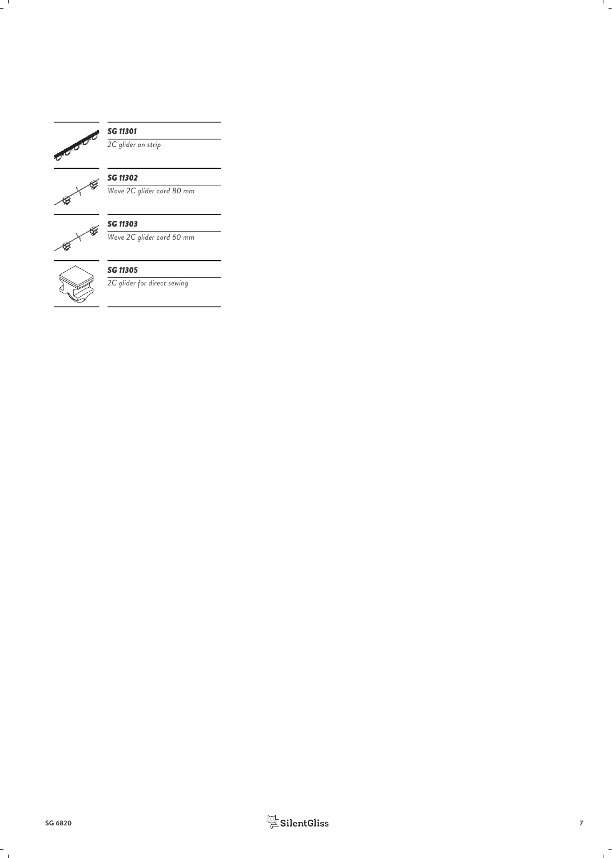

### *SG 11301*

*2C glider on strip*



### *SG 11302*

*Wave 2C glider cord 80 mm*



*SG 11303 Wave 2C glider cord 60 mm*



### *SG 11305*

*2C glider for direct sewing*